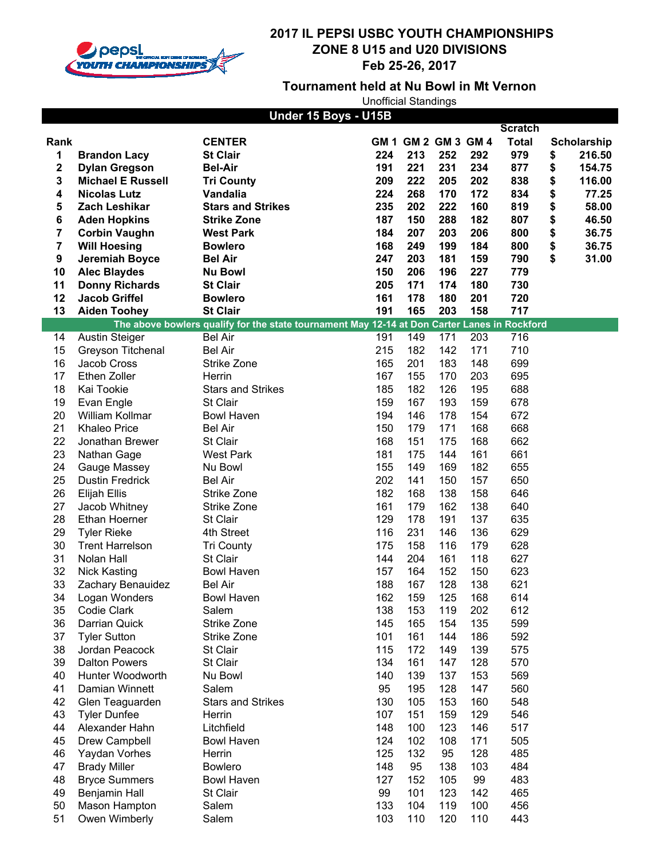

### **Tournament held at Nu Bowl in Mt Vernon**

|             |                          | Under 15 Boys - U15B                                                                         |     |                     |     |     |                |                    |
|-------------|--------------------------|----------------------------------------------------------------------------------------------|-----|---------------------|-----|-----|----------------|--------------------|
|             |                          |                                                                                              |     |                     |     |     | <b>Scratch</b> |                    |
| Rank        |                          | <b>CENTER</b>                                                                                |     | GM 1 GM 2 GM 3 GM 4 |     |     | <b>Total</b>   | <b>Scholarship</b> |
| 1           | <b>Brandon Lacy</b>      | <b>St Clair</b>                                                                              | 224 | 213                 | 252 | 292 | 979            | \$<br>216.50       |
| $\mathbf 2$ | <b>Dylan Gregson</b>     | <b>Bel-Air</b>                                                                               | 191 | 221                 | 231 | 234 | 877            | \$<br>154.75       |
| 3           | <b>Michael E Russell</b> | <b>Tri County</b>                                                                            | 209 | 222                 | 205 | 202 | 838            | \$<br>116.00       |
| 4           | <b>Nicolas Lutz</b>      | Vandalia                                                                                     | 224 | 268                 | 170 | 172 | 834            | \$<br>77.25        |
| 5           | <b>Zach Leshikar</b>     | <b>Stars and Strikes</b>                                                                     | 235 | 202                 | 222 | 160 | 819            | \$<br>58.00        |
| 6           | <b>Aden Hopkins</b>      | <b>Strike Zone</b>                                                                           | 187 | 150                 | 288 | 182 | 807            | \$<br>46.50        |
| 7           | <b>Corbin Vaughn</b>     | <b>West Park</b>                                                                             | 184 | 207                 | 203 | 206 | 800            | \$<br>36.75        |
| 7           | <b>Will Hoesing</b>      | <b>Bowlero</b>                                                                               | 168 | 249                 | 199 | 184 | 800            | \$<br>36.75        |
| 9           | Jeremiah Boyce           | <b>Bel Air</b>                                                                               | 247 | 203                 | 181 | 159 | 790            | \$<br>31.00        |
| 10          | <b>Alec Blaydes</b>      | <b>Nu Bowl</b>                                                                               | 150 | 206                 | 196 | 227 | 779            |                    |
| 11          | <b>Donny Richards</b>    | <b>St Clair</b>                                                                              | 205 | 171                 | 174 | 180 | 730            |                    |
| 12          | <b>Jacob Griffel</b>     | <b>Bowlero</b>                                                                               | 161 | 178                 | 180 | 201 | 720            |                    |
| 13          | <b>Aiden Toohey</b>      | <b>St Clair</b>                                                                              | 191 | 165                 | 203 | 158 | 717            |                    |
|             |                          | The above bowlers qualify for the state tournament May 12-14 at Don Carter Lanes in Rockford |     |                     |     |     |                |                    |
| 14          | <b>Austin Steiger</b>    | <b>Bel Air</b>                                                                               | 191 | 149                 | 171 | 203 | 716            |                    |
| 15          | Greyson Titchenal        | <b>Bel Air</b>                                                                               | 215 | 182                 | 142 | 171 | 710            |                    |
| 16          | Jacob Cross              | Strike Zone                                                                                  | 165 | 201                 | 183 | 148 | 699            |                    |
| 17          | Ethen Zoller             | Herrin                                                                                       | 167 | 155                 | 170 | 203 | 695            |                    |
|             |                          |                                                                                              |     |                     |     |     |                |                    |
| 18          | Kai Tookie               | <b>Stars and Strikes</b>                                                                     | 185 | 182                 | 126 | 195 | 688            |                    |
| 19          | Evan Engle               | St Clair                                                                                     | 159 | 167                 | 193 | 159 | 678            |                    |
| 20          | William Kollmar          | <b>Bowl Haven</b>                                                                            | 194 | 146                 | 178 | 154 | 672            |                    |
| 21          | <b>Khaleo Price</b>      | <b>Bel Air</b>                                                                               | 150 | 179                 | 171 | 168 | 668            |                    |
| 22          | Jonathan Brewer          | St Clair                                                                                     | 168 | 151                 | 175 | 168 | 662            |                    |
| 23          | Nathan Gage              | <b>West Park</b>                                                                             | 181 | 175                 | 144 | 161 | 661            |                    |
| 24          | Gauge Massey             | Nu Bowl                                                                                      | 155 | 149                 | 169 | 182 | 655            |                    |
| 25          | <b>Dustin Fredrick</b>   | <b>Bel Air</b>                                                                               | 202 | 141                 | 150 | 157 | 650            |                    |
| 26          | Elijah Ellis             | Strike Zone                                                                                  | 182 | 168                 | 138 | 158 | 646            |                    |
| 27          | Jacob Whitney            | Strike Zone                                                                                  | 161 | 179                 | 162 | 138 | 640            |                    |
| 28          | <b>Ethan Hoerner</b>     | St Clair                                                                                     | 129 | 178                 | 191 | 137 | 635            |                    |
| 29          | <b>Tyler Rieke</b>       | 4th Street                                                                                   | 116 | 231                 | 146 | 136 | 629            |                    |
| 30          | <b>Trent Harrelson</b>   | <b>Tri County</b>                                                                            | 175 | 158                 | 116 | 179 | 628            |                    |
| 31          | Nolan Hall               | St Clair                                                                                     | 144 | 204                 | 161 | 118 | 627            |                    |
| 32          | <b>Nick Kasting</b>      | <b>Bowl Haven</b>                                                                            | 157 | 164                 | 152 | 150 | 623            |                    |
| 33          | Zachary Benauidez        | <b>Bel Air</b>                                                                               | 188 | 167                 | 128 | 138 | 621            |                    |
| 34          | Logan Wonders            | <b>Bowl Haven</b>                                                                            | 162 | 159                 | 125 | 168 | 614            |                    |
| 35          | Codie Clark              | Salem                                                                                        | 138 | 153                 | 119 | 202 | 612            |                    |
| 36          | Darrian Quick            | Strike Zone                                                                                  | 145 | 165                 | 154 | 135 | 599            |                    |
| 37          | <b>Tyler Sutton</b>      | Strike Zone                                                                                  | 101 | 161                 | 144 | 186 | 592            |                    |
| 38          | Jordan Peacock           | St Clair                                                                                     | 115 | 172                 | 149 | 139 | 575            |                    |
| 39          | <b>Dalton Powers</b>     | St Clair                                                                                     | 134 | 161                 | 147 | 128 | 570            |                    |
| 40          | Hunter Woodworth         | Nu Bowl                                                                                      | 140 | 139                 | 137 | 153 | 569            |                    |
| 41          | Damian Winnett           | Salem                                                                                        | 95  | 195                 | 128 | 147 | 560            |                    |
| 42          | Glen Teaguarden          | <b>Stars and Strikes</b>                                                                     | 130 | 105                 | 153 | 160 | 548            |                    |
| 43          | <b>Tyler Dunfee</b>      | Herrin                                                                                       | 107 | 151                 | 159 | 129 | 546            |                    |
| 44          | Alexander Hahn           | Litchfield                                                                                   | 148 | 100                 | 123 | 146 | 517            |                    |
| 45          | Drew Campbell            | <b>Bowl Haven</b>                                                                            | 124 | 102                 | 108 | 171 | 505            |                    |
| 46          | Yaydan Vorhes            | Herrin                                                                                       | 125 | 132                 | 95  | 128 | 485            |                    |
| 47          | <b>Brady Miller</b>      | <b>Bowlero</b>                                                                               | 148 | 95                  | 138 | 103 | 484            |                    |
| 48          | <b>Bryce Summers</b>     | <b>Bowl Haven</b>                                                                            | 127 | 152                 | 105 | 99  | 483            |                    |
| 49          | Benjamin Hall            | St Clair                                                                                     | 99  | 101                 | 123 | 142 | 465            |                    |
| 50          | Mason Hampton            | Salem                                                                                        | 133 | 104                 | 119 | 100 | 456            |                    |
| 51          | Owen Wimberly            | Salem                                                                                        | 103 | 110                 | 120 | 110 | 443            |                    |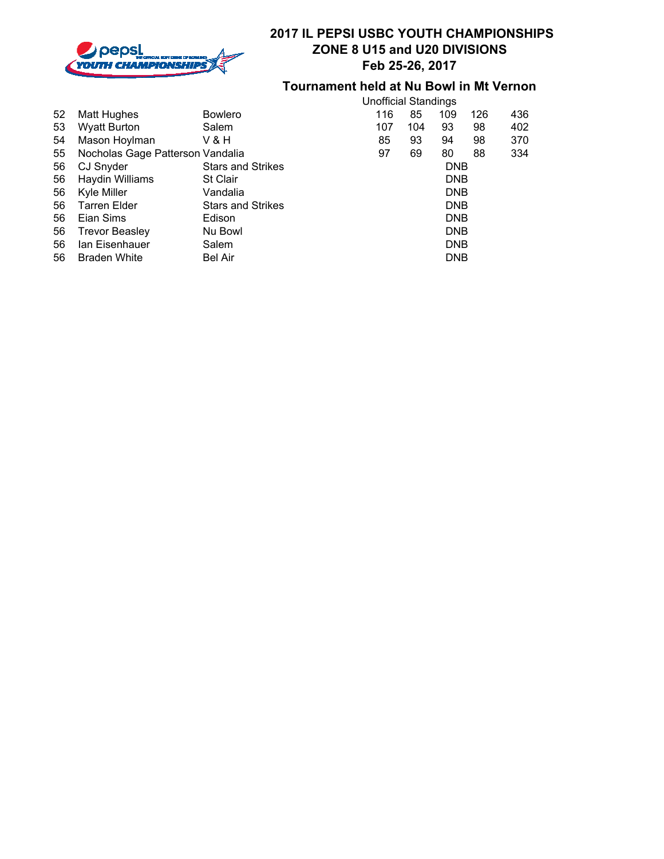

## **Tournament held at Nu Bowl in Mt Vernon**

|    |                                  |                          |    |            | <b>Unofficial Standings</b> |            |     |     |  |
|----|----------------------------------|--------------------------|----|------------|-----------------------------|------------|-----|-----|--|
| 52 | Matt Hughes                      | <b>Bowlero</b>           |    | 116        | 85                          | 109        | 126 | 436 |  |
| 53 | <b>Wyatt Burton</b>              | Salem                    |    | 107        | 104                         | 93         | 98  | 402 |  |
| 54 | Mason Hoylman                    | V & H                    |    | 85         | 93                          | 94         | 98  | 370 |  |
| 55 | Nocholas Gage Patterson Vandalia |                          | 97 |            | 69                          | 80         | 88  | 334 |  |
| 56 | CJ Snyder                        | <b>Stars and Strikes</b> |    |            |                             | <b>DNB</b> |     |     |  |
| 56 | Haydin Williams                  | St Clair                 |    | <b>DNB</b> |                             |            |     |     |  |
| 56 | Kyle Miller                      | Vandalia                 |    | <b>DNB</b> |                             |            |     |     |  |
| 56 | Tarren Elder                     | <b>Stars and Strikes</b> |    | <b>DNB</b> |                             |            |     |     |  |
| 56 | Eian Sims                        | Edison                   |    |            |                             | <b>DNB</b> |     |     |  |
| 56 | <b>Trevor Beasley</b>            | Nu Bowl                  |    |            |                             | <b>DNB</b> |     |     |  |
| 56 | lan Eisenhauer                   | Salem                    |    |            |                             | <b>DNB</b> |     |     |  |
| 56 | <b>Braden White</b>              | Bel Air                  |    |            |                             | <b>DNB</b> |     |     |  |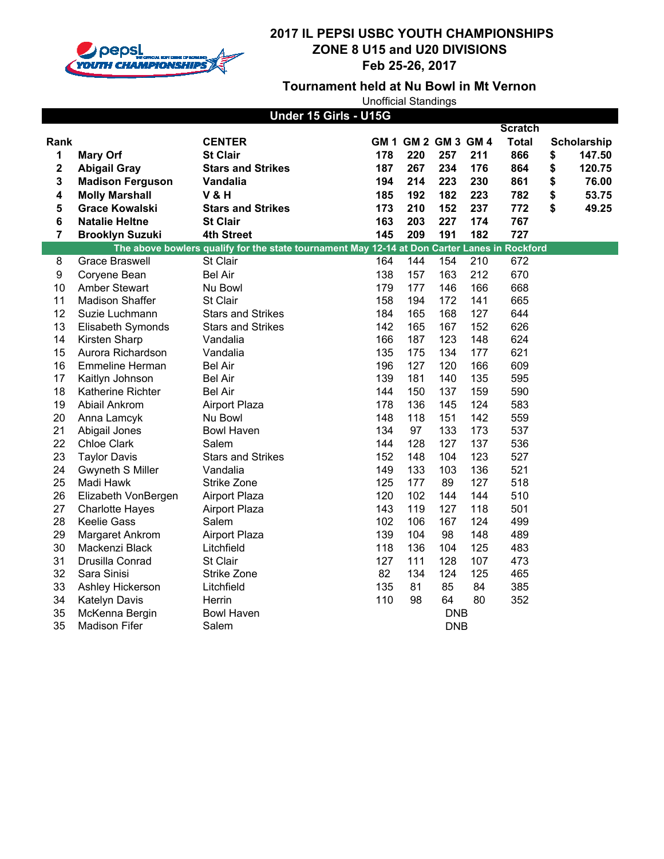

### **2017 IL PEPSI USBC YOUTH CHAMPIONSHIPS ZONE 8 U15 and U20 DIVISIONS Feb 25-26, 2017**

### **Tournament held at Nu Bowl in Mt Vernon**

|                | Under 15 Girls - U15G   |                                                                                              |     |                     |            |     |                |    |                    |
|----------------|-------------------------|----------------------------------------------------------------------------------------------|-----|---------------------|------------|-----|----------------|----|--------------------|
|                |                         |                                                                                              |     |                     |            |     | <b>Scratch</b> |    |                    |
| Rank           |                         | <b>CENTER</b>                                                                                |     | GM 1 GM 2 GM 3 GM 4 |            |     | <b>Total</b>   |    | <b>Scholarship</b> |
| 1              | <b>Mary Orf</b>         | <b>St Clair</b>                                                                              | 178 | 220                 | 257        | 211 | 866            | \$ | 147.50             |
| 2              | <b>Abigail Gray</b>     | <b>Stars and Strikes</b>                                                                     | 187 | 267                 | 234        | 176 | 864            | \$ | 120.75             |
| 3              | <b>Madison Ferguson</b> | Vandalia                                                                                     | 194 | 214                 | 223        | 230 | 861            | \$ | 76.00              |
| 4              | <b>Molly Marshall</b>   | <b>V&amp;H</b>                                                                               | 185 | 192                 | 182        | 223 | 782            | \$ | 53.75              |
| 5              | <b>Grace Kowalski</b>   | <b>Stars and Strikes</b>                                                                     | 173 | 210                 | 152        | 237 | 772            | \$ | 49.25              |
| 6              | <b>Natalie Heltne</b>   | <b>St Clair</b>                                                                              | 163 | 203                 | 227        | 174 | 767            |    |                    |
| $\overline{7}$ | <b>Brooklyn Suzuki</b>  | 4th Street                                                                                   | 145 | 209                 | 191        | 182 | 727            |    |                    |
|                |                         | The above bowlers qualify for the state tournament May 12-14 at Don Carter Lanes in Rockford |     |                     |            |     |                |    |                    |
| 8              | <b>Grace Braswell</b>   | St Clair                                                                                     | 164 | 144                 | 154        | 210 | 672            |    |                    |
| 9              | Coryene Bean            | <b>Bel Air</b>                                                                               | 138 | 157                 | 163        | 212 | 670            |    |                    |
| 10             | <b>Amber Stewart</b>    | Nu Bowl                                                                                      | 179 | 177                 | 146        | 166 | 668            |    |                    |
| 11             | <b>Madison Shaffer</b>  | St Clair                                                                                     | 158 | 194                 | 172        | 141 | 665            |    |                    |
| 12             | Suzie Luchmann          | <b>Stars and Strikes</b>                                                                     | 184 | 165                 | 168        | 127 | 644            |    |                    |
| 13             | Elisabeth Symonds       | <b>Stars and Strikes</b>                                                                     | 142 | 165                 | 167        | 152 | 626            |    |                    |
| 14             | Kirsten Sharp           | Vandalia                                                                                     | 166 | 187                 | 123        | 148 | 624            |    |                    |
| 15             | Aurora Richardson       | Vandalia                                                                                     | 135 | 175                 | 134        | 177 | 621            |    |                    |
| 16             | <b>Emmeline Herman</b>  | <b>Bel Air</b>                                                                               | 196 | 127                 | 120        | 166 | 609            |    |                    |
| 17             | Kaitlyn Johnson         | <b>Bel Air</b>                                                                               | 139 | 181                 | 140        | 135 | 595            |    |                    |
| 18             | Katherine Richter       | <b>Bel Air</b>                                                                               | 144 | 150                 | 137        | 159 | 590            |    |                    |
| 19             | Abiail Ankrom           | <b>Airport Plaza</b>                                                                         | 178 | 136                 | 145        | 124 | 583            |    |                    |
| 20             | Anna Lamcyk             | Nu Bowl                                                                                      | 148 | 118                 | 151        | 142 | 559            |    |                    |
| 21             | Abigail Jones           | <b>Bowl Haven</b>                                                                            | 134 | 97                  | 133        | 173 | 537            |    |                    |
| 22             | <b>Chloe Clark</b>      | Salem                                                                                        | 144 | 128                 | 127        | 137 | 536            |    |                    |
| 23             | <b>Taylor Davis</b>     | <b>Stars and Strikes</b>                                                                     | 152 | 148                 | 104        | 123 | 527            |    |                    |
| 24             | <b>Gwyneth S Miller</b> | Vandalia                                                                                     | 149 | 133                 | 103        | 136 | 521            |    |                    |
| 25             | Madi Hawk               | <b>Strike Zone</b>                                                                           | 125 | 177                 | 89         | 127 | 518            |    |                    |
| 26             | Elizabeth VonBergen     | <b>Airport Plaza</b>                                                                         | 120 | 102                 | 144        | 144 | 510            |    |                    |
| 27             | <b>Charlotte Hayes</b>  | <b>Airport Plaza</b>                                                                         | 143 | 119                 | 127        | 118 | 501            |    |                    |
| 28             | <b>Keelie Gass</b>      | Salem                                                                                        | 102 | 106                 | 167        | 124 | 499            |    |                    |
| 29             | Margaret Ankrom         | <b>Airport Plaza</b>                                                                         | 139 | 104                 | 98         | 148 | 489            |    |                    |
| 30             | Mackenzi Black          | Litchfield                                                                                   | 118 | 136                 | 104        | 125 | 483            |    |                    |
| 31             | Drusilla Conrad         | St Clair                                                                                     | 127 | 111                 | 128        | 107 | 473            |    |                    |
| 32             | Sara Sinisi             | Strike Zone                                                                                  | 82  | 134                 | 124        | 125 | 465            |    |                    |
| 33             | Ashley Hickerson        | Litchfield                                                                                   | 135 | 81                  | 85         | 84  | 385            |    |                    |
| 34             | Katelyn Davis           | Herrin                                                                                       | 110 | 98                  | 64         | 80  | 352            |    |                    |
| 35             | McKenna Bergin          | <b>Bowl Haven</b>                                                                            |     |                     | <b>DNB</b> |     |                |    |                    |
| 35             | <b>Madison Fifer</b>    | Salem                                                                                        |     |                     | <b>DNB</b> |     |                |    |                    |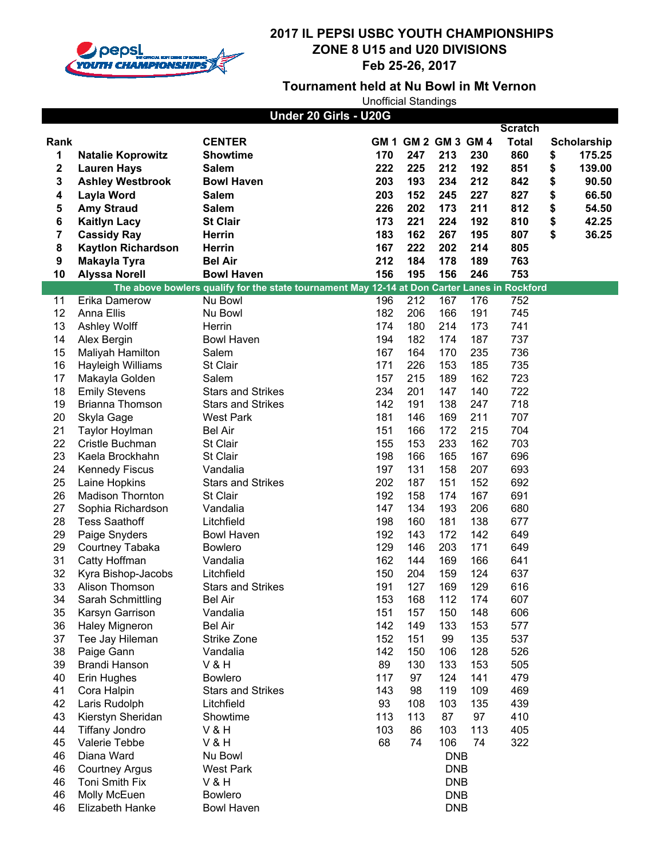

## **Tournament held at Nu Bowl in Mt Vernon**

|          |                                        | Under 20 Girls - U20G                                                                        |            |                     |            |            |                |                    |
|----------|----------------------------------------|----------------------------------------------------------------------------------------------|------------|---------------------|------------|------------|----------------|--------------------|
|          |                                        |                                                                                              |            |                     |            |            | <b>Scratch</b> |                    |
| Rank     |                                        | <b>CENTER</b>                                                                                |            | GM 1 GM 2 GM 3 GM 4 |            |            | <b>Total</b>   | <b>Scholarship</b> |
| 1        | <b>Natalie Koprowitz</b>               | <b>Showtime</b>                                                                              | 170        | 247                 | 213        | 230        | 860            | \$<br>175.25       |
| 2        | <b>Lauren Hays</b>                     | <b>Salem</b>                                                                                 | 222        | 225                 | 212        | 192        | 851            | \$<br>139.00       |
| 3        | <b>Ashley Westbrook</b>                | <b>Bowl Haven</b>                                                                            | 203        | 193                 | 234        | 212        | 842            | \$<br>90.50        |
| 4        | <b>Layla Word</b>                      | <b>Salem</b>                                                                                 | 203        | 152                 | 245        | 227        | 827            | \$<br>66.50        |
| 5        | <b>Amy Straud</b>                      | <b>Salem</b>                                                                                 | 226        | 202                 | 173        | 211        | 812            | \$<br>54.50        |
| 6        | <b>Kaitlyn Lacy</b>                    | <b>St Clair</b>                                                                              | 173        | 221                 | 224        | 192        | 810            | \$<br>42.25        |
| 7        | <b>Cassidy Ray</b>                     | <b>Herrin</b>                                                                                | 183        | 162                 | 267        | 195        | 807            | \$<br>36.25        |
| 8        | <b>Kaytlon Richardson</b>              | <b>Herrin</b>                                                                                | 167        | 222                 | 202        | 214        | 805            |                    |
| 9        | Makayla Tyra                           | <b>Bel Air</b>                                                                               | 212        | 184                 | 178        | 189        | 763            |                    |
| 10       | <b>Alyssa Norell</b>                   | <b>Bowl Haven</b>                                                                            | 156        | 195                 | 156        | 246        | 753            |                    |
|          |                                        | The above bowlers qualify for the state tournament May 12-14 at Don Carter Lanes in Rockford |            |                     |            |            |                |                    |
| 11       | Erika Damerow                          | Nu Bowl                                                                                      | 196        | 212                 | 167        | 176        | 752            |                    |
| 12       | Anna Ellis                             | Nu Bowl                                                                                      | 182        | 206                 | 166        | 191        | 745            |                    |
| 13       | Ashley Wolff                           | Herrin                                                                                       | 174        | 180                 | 214        | 173        | 741            |                    |
| 14       | Alex Bergin                            | <b>Bowl Haven</b>                                                                            | 194        | 182                 | 174        | 187        | 737            |                    |
| 15       | Maliyah Hamilton                       | Salem                                                                                        | 167        | 164                 | 170        | 235        | 736            |                    |
| 16       | Hayleigh Williams                      | St Clair                                                                                     | 171        | 226                 | 153        | 185        | 735            |                    |
| 17       | Makayla Golden                         | Salem                                                                                        | 157        | 215                 | 189        | 162        | 723            |                    |
| 18       | <b>Emily Stevens</b>                   | <b>Stars and Strikes</b>                                                                     | 234        | 201                 | 147        | 140        | 722            |                    |
| 19       | Brianna Thomson                        | <b>Stars and Strikes</b>                                                                     | 142        | 191                 | 138        | 247        | 718<br>707     |                    |
| 20       | Skyla Gage                             | <b>West Park</b>                                                                             | 181        | 146                 | 169        | 211        | 704            |                    |
| 21<br>22 | Taylor Hoylman                         | <b>Bel Air</b>                                                                               | 151<br>155 | 166<br>153          | 172<br>233 | 215        | 703            |                    |
| 23       | Cristle Buchman<br>Kaela Brockhahn     | St Clair<br>St Clair                                                                         | 198        | 166                 | 165        | 162<br>167 | 696            |                    |
| 24       |                                        | Vandalia                                                                                     | 197        | 131                 | 158        | 207        | 693            |                    |
| 25       | <b>Kennedy Fiscus</b><br>Laine Hopkins | <b>Stars and Strikes</b>                                                                     | 202        | 187                 | 151        | 152        | 692            |                    |
| 26       | <b>Madison Thornton</b>                | St Clair                                                                                     | 192        | 158                 | 174        | 167        | 691            |                    |
| 27       | Sophia Richardson                      | Vandalia                                                                                     | 147        | 134                 | 193        | 206        | 680            |                    |
| 28       | <b>Tess Saathoff</b>                   | Litchfield                                                                                   | 198        | 160                 | 181        | 138        | 677            |                    |
| 29       | Paige Snyders                          | <b>Bowl Haven</b>                                                                            | 192        | 143                 | 172        | 142        | 649            |                    |
| 29       | Courtney Tabaka                        | <b>Bowlero</b>                                                                               | 129        | 146                 | 203        | 171        | 649            |                    |
| 31       | Catty Hoffman                          | Vandalia                                                                                     | 162        | 144                 | 169        | 166        | 641            |                    |
| 32       | Kyra Bishop-Jacobs                     | Litchfield                                                                                   | 150        | 204                 | 159        | 124        | 637            |                    |
| 33       | Alison Thomson                         | <b>Stars and Strikes</b>                                                                     | 191        | 127                 | 169        | 129        | 616            |                    |
| 34       | Sarah Schmittling                      | <b>Bel Air</b>                                                                               | 153        | 168                 | 112        | 174        | 607            |                    |
| 35       | Karsyn Garrison                        | Vandalia                                                                                     | 151        | 157                 | 150        | 148        | 606            |                    |
| 36       | Haley Migneron                         | <b>Bel Air</b>                                                                               | 142        | 149                 | 133        | 153        | 577            |                    |
| 37       | Tee Jay Hileman                        | <b>Strike Zone</b>                                                                           | 152        | 151                 | 99         | 135        | 537            |                    |
| 38       | Paige Gann                             | Vandalia                                                                                     | 142        | 150                 | 106        | 128        | 526            |                    |
| 39       | <b>Brandi Hanson</b>                   | <b>V&amp;H</b>                                                                               | 89         | 130                 | 133        | 153        | 505            |                    |
| 40       | Erin Hughes                            | <b>Bowlero</b>                                                                               | 117        | 97                  | 124        | 141        | 479            |                    |
| 41       | Cora Halpin                            | <b>Stars and Strikes</b>                                                                     | 143        | 98                  | 119        | 109        | 469            |                    |
| 42       | Laris Rudolph                          | Litchfield                                                                                   | 93         | 108                 | 103        | 135        | 439            |                    |
| 43       | Kierstyn Sheridan                      | Showtime                                                                                     | 113        | 113                 | 87         | 97         | 410            |                    |
| 44       | <b>Tiffany Jondro</b>                  | <b>V&amp;H</b>                                                                               | 103        | 86                  | 103        | 113        | 405            |                    |
| 45       | Valerie Tebbe                          | <b>V&amp;H</b>                                                                               | 68         | 74                  | 106        | 74         | 322            |                    |
| 46       | Diana Ward                             | Nu Bowl                                                                                      |            |                     | <b>DNB</b> |            |                |                    |
| 46       | <b>Courtney Argus</b>                  | <b>West Park</b>                                                                             |            |                     | <b>DNB</b> |            |                |                    |
| 46       | Toni Smith Fix                         | <b>V&amp;H</b>                                                                               |            |                     | <b>DNB</b> |            |                |                    |
| 46       | Molly McEuen                           | <b>Bowlero</b>                                                                               |            |                     | <b>DNB</b> |            |                |                    |
| 46       | Elizabeth Hanke                        | <b>Bowl Haven</b>                                                                            |            |                     | <b>DNB</b> |            |                |                    |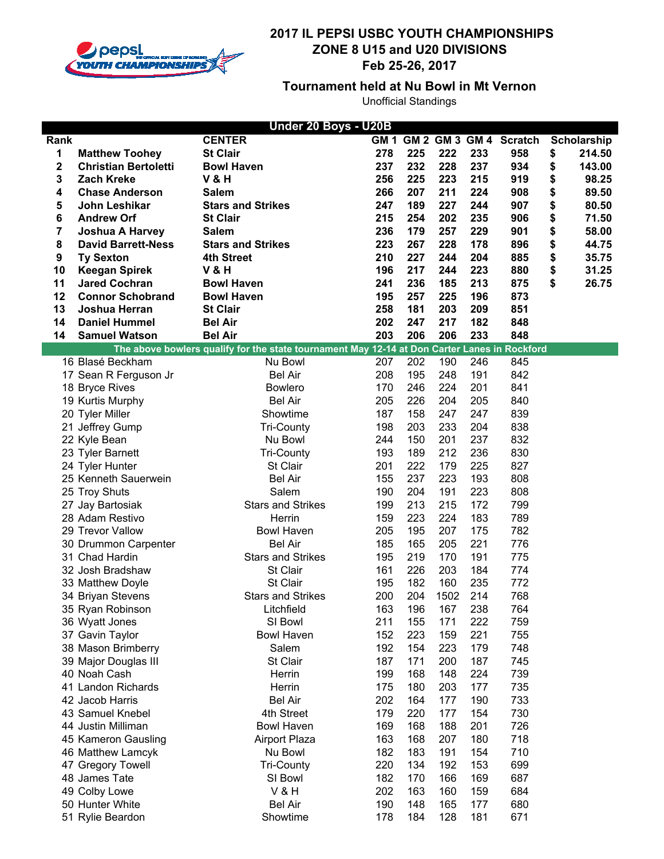

## **Tournament held at Nu Bowl in Mt Vernon**

|      |                                              | Under 20 Boys - U20B                                                                         |            |            |            |            |                             |              |
|------|----------------------------------------------|----------------------------------------------------------------------------------------------|------------|------------|------------|------------|-----------------------------|--------------|
| Rank |                                              | <b>CENTER</b>                                                                                |            |            |            |            | GM 1 GM 2 GM 3 GM 4 Scratch | Scholarship  |
| 1    | <b>Matthew Toohey</b>                        | <b>St Clair</b>                                                                              | 278        | 225        | 222        | 233        | 958                         | \$<br>214.50 |
| 2    | <b>Christian Bertoletti</b>                  | <b>Bowl Haven</b>                                                                            | 237        | 232        | 228        | 237        | 934                         | \$<br>143.00 |
| 3    | <b>Zach Kreke</b>                            | <b>V&amp;H</b>                                                                               | 256        | 225        | 223        | 215        | 919                         | \$<br>98.25  |
| 4    | <b>Chase Anderson</b>                        | <b>Salem</b>                                                                                 | 266        | 207        | 211        | 224        | 908                         | \$<br>89.50  |
| 5    | John Leshikar                                | <b>Stars and Strikes</b>                                                                     | 247        | 189        | 227        | 244        | 907                         | \$<br>80.50  |
| 6    | <b>Andrew Orf</b>                            | <b>St Clair</b>                                                                              | 215        | 254        | 202        | 235        | 906                         | \$<br>71.50  |
| 7    | <b>Joshua A Harvey</b>                       | <b>Salem</b>                                                                                 | 236        | 179        | 257        | 229        | 901                         | \$<br>58.00  |
| 8    | <b>David Barrett-Ness</b>                    | <b>Stars and Strikes</b>                                                                     | 223        | 267        | 228        | 178        | 896                         | \$<br>44.75  |
| 9    | <b>Ty Sexton</b>                             | <b>4th Street</b>                                                                            | 210        | 227        | 244        | 204        | 885                         | \$<br>35.75  |
| 10   | <b>Keegan Spirek</b>                         | <b>V&amp;H</b>                                                                               | 196        | 217        | 244        | 223        | 880                         | \$<br>31.25  |
| 11   | <b>Jared Cochran</b>                         | <b>Bowl Haven</b>                                                                            | 241        | 236        | 185        | 213        | 875                         | \$<br>26.75  |
| 12   | <b>Connor Schobrand</b>                      | <b>Bowl Haven</b>                                                                            | 195        | 257        | 225        | 196        | 873                         |              |
| 13   | Joshua Herran                                | <b>St Clair</b>                                                                              | 258        | 181        | 203        | 209        | 851                         |              |
| 14   | <b>Daniel Hummel</b><br><b>Samuel Watson</b> | <b>Bel Air</b><br><b>Bel Air</b>                                                             | 202<br>203 | 247<br>206 | 217<br>206 | 182        | 848<br>848                  |              |
| 14   |                                              | The above bowlers qualify for the state tournament May 12-14 at Don Carter Lanes in Rockford |            |            |            | 233        |                             |              |
|      | 16 Blasé Beckham                             | Nu Bowl                                                                                      | 207        | 202        | 190        | 246        | 845                         |              |
|      | 17 Sean R Ferguson Jr                        | <b>Bel Air</b>                                                                               | 208        | 195        | 248        | 191        | 842                         |              |
|      | 18 Bryce Rives                               | <b>Bowlero</b>                                                                               | 170        | 246        | 224        | 201        | 841                         |              |
|      | 19 Kurtis Murphy                             | <b>Bel Air</b>                                                                               | 205        | 226        | 204        | 205        | 840                         |              |
|      | 20 Tyler Miller                              | Showtime                                                                                     | 187        | 158        | 247        | 247        | 839                         |              |
|      | 21 Jeffrey Gump                              | <b>Tri-County</b>                                                                            | 198        | 203        | 233        | 204        | 838                         |              |
|      | 22 Kyle Bean                                 | Nu Bowl                                                                                      | 244        | 150        | 201        | 237        | 832                         |              |
|      | 23 Tyler Barnett                             | <b>Tri-County</b>                                                                            | 193        | 189        | 212        | 236        | 830                         |              |
|      | 24 Tyler Hunter                              | St Clair                                                                                     | 201        | 222        | 179        | 225        | 827                         |              |
|      | 25 Kenneth Sauerwein                         | <b>Bel Air</b>                                                                               | 155        | 237        | 223        | 193        | 808                         |              |
|      | 25 Troy Shuts                                | Salem                                                                                        | 190        | 204        | 191        | 223        | 808                         |              |
|      | 27 Jay Bartosiak                             | <b>Stars and Strikes</b>                                                                     | 199        | 213        | 215        | 172        | 799                         |              |
|      | 28 Adam Restivo                              | Herrin                                                                                       | 159        | 223        | 224        | 183        | 789                         |              |
|      | 29 Trevor Vallow                             | <b>Bowl Haven</b>                                                                            | 205        | 195        | 207        | 175        | 782                         |              |
|      | 30 Drummon Carpenter                         | <b>Bel Air</b>                                                                               | 185        | 165        | 205        | 221        | 776                         |              |
|      | 31 Chad Hardin                               | <b>Stars and Strikes</b>                                                                     | 195        | 219        | 170        | 191        | 775                         |              |
|      | 32 Josh Bradshaw                             | St Clair                                                                                     | 161        | 226        | 203        | 184        | 774                         |              |
|      | 33 Matthew Doyle                             | St Clair                                                                                     | 195        | 182        | 160        | 235        | 772                         |              |
|      | 34 Briyan Stevens                            | <b>Stars and Strikes</b>                                                                     | 200        | 204        | 1502       | 214        | 768                         |              |
|      | 35 Ryan Robinson                             | Litchfield                                                                                   | 163<br>211 | 196<br>155 | 167        | 238<br>222 | 764<br>759                  |              |
|      | 36 Wyatt Jones<br>37 Gavin Taylor            | SI Bowl<br><b>Bowl Haven</b>                                                                 | 152        | 223        | 171<br>159 | 221        | 755                         |              |
|      | 38 Mason Brimberry                           | Salem                                                                                        | 192        | 154        | 223        | 179        | 748                         |              |
|      | 39 Major Douglas III                         | St Clair                                                                                     | 187        | 171        | 200        | 187        | 745                         |              |
|      | 40 Noah Cash                                 | Herrin                                                                                       | 199        | 168        | 148        | 224        | 739                         |              |
|      | 41 Landon Richards                           | Herrin                                                                                       | 175        | 180        | 203        | 177        | 735                         |              |
|      | 42 Jacob Harris                              | <b>Bel Air</b>                                                                               | 202        | 164        | 177        | 190        | 733                         |              |
|      | 43 Samuel Knebel                             | 4th Street                                                                                   | 179        | 220        | 177        | 154        | 730                         |              |
|      | 44 Justin Milliman                           | <b>Bowl Haven</b>                                                                            | 169        | 168        | 188        | 201        | 726                         |              |
|      | 45 Kameron Gausling                          | <b>Airport Plaza</b>                                                                         | 163        | 168        | 207        | 180        | 718                         |              |
|      | 46 Matthew Lamcyk                            | Nu Bowl                                                                                      | 182        | 183        | 191        | 154        | 710                         |              |
|      | 47 Gregory Towell                            | Tri-County                                                                                   | 220        | 134        | 192        | 153        | 699                         |              |
|      | 48 James Tate                                | SI Bowl                                                                                      | 182        | 170        | 166        | 169        | 687                         |              |
|      | 49 Colby Lowe                                | <b>V&amp;H</b>                                                                               | 202        | 163        | 160        | 159        | 684                         |              |
|      | 50 Hunter White                              | <b>Bel Air</b>                                                                               | 190        | 148        | 165        | 177        | 680                         |              |
|      | 51 Rylie Beardon                             | Showtime                                                                                     | 178        | 184        | 128        | 181        | 671                         |              |